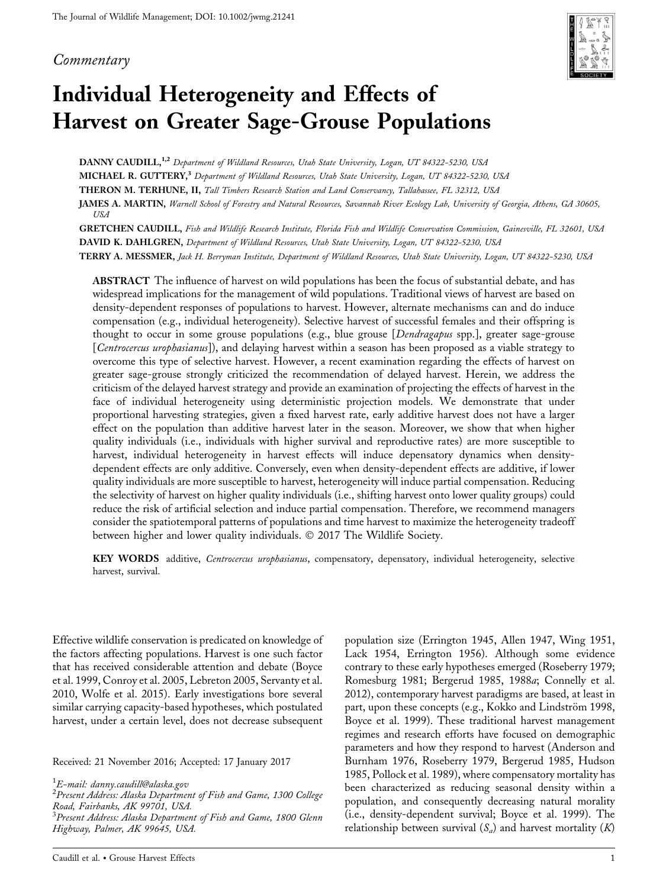### Commentary



# Individual Heterogeneity and Effects of Harvest on Greater Sage-Grouse Populations

DANNY CAUDILL,<sup>1,2</sup> Department of Wildland Resources, Utah State University, Logan, UT 84322-5230, USA MICHAEL R. GUTTERY,<sup>3</sup> Department of Wildland Resources, Utah State University, Logan, UT 84322-5230, USA THERON M. TERHUNE, II, Tall Timbers Research Station and Land Conservancy, Tallahassee, FL 32312, USA JAMES A. MARTIN, Warnell School of Forestry and Natural Resources, Savannah River Ecology Lab, University of Georgia, Athens, GA 30605, USA

GRETCHEN CAUDILL, Fish and Wildlife Research Institute, Florida Fish and Wildlife Conservation Commission, Gainesville, FL 32601, USA DAVID K. DAHLGREN, Department of Wildland Resources, Utah State University, Logan, UT 84322-5230, USA TERRY A. MESSMER, Jack H. Berryman Institute, Department of Wildland Resources, Utah State University, Logan, UT 84322-5230, USA

ABSTRACT The influence of harvest on wild populations has been the focus of substantial debate, and has widespread implications for the management of wild populations. Traditional views of harvest are based on density-dependent responses of populations to harvest. However, alternate mechanisms can and do induce compensation (e.g., individual heterogeneity). Selective harvest of successful females and their offspring is thought to occur in some grouse populations (e.g., blue grouse  $[Dendragapus$  spp.], greater sage-grouse [*Centrocercus urophasianus*]), and delaying harvest within a season has been proposed as a viable strategy to overcome this type of selective harvest. However, a recent examination regarding the effects of harvest on greater sage-grouse strongly criticized the recommendation of delayed harvest. Herein, we address the criticism of the delayed harvest strategy and provide an examination of projecting the effects of harvest in the face of individual heterogeneity using deterministic projection models. We demonstrate that under proportional harvesting strategies, given a fixed harvest rate, early additive harvest does not have a larger effect on the population than additive harvest later in the season. Moreover, we show that when higher quality individuals (i.e., individuals with higher survival and reproductive rates) are more susceptible to harvest, individual heterogeneity in harvest effects will induce depensatory dynamics when densitydependent effects are only additive. Conversely, even when density-dependent effects are additive, if lower quality individuals are more susceptible to harvest, heterogeneity will induce partial compensation. Reducing the selectivity of harvest on higher quality individuals (i.e., shifting harvest onto lower quality groups) could reduce the risk of artificial selection and induce partial compensation. Therefore, we recommend managers consider the spatiotemporal patterns of populations and time harvest to maximize the heterogeneity tradeoff between higher and lower quality individuals. © 2017 The Wildlife Society.

KEY WORDS additive, Centrocercus urophasianus, compensatory, depensatory, individual heterogeneity, selective harvest, survival.

Effective wildlife conservation is predicated on knowledge of the factors affecting populations. Harvest is one such factor that has received considerable attention and debate (Boyce et al. 1999, Conroy et al. 2005, Lebreton 2005, Servanty et al. 2010, Wolfe et al. 2015). Early investigations bore several similar carrying capacity-based hypotheses, which postulated harvest, under a certain level, does not decrease subsequent

Received: 21 November 2016; Accepted: 17 January 2017

1 E-mail: danny.caudill@alaska.gov

 $^2$ Present Address: Alaska Department of Fish and Game, 1300 College Road, Fairbanks, AK 99701, USA.  $^3$ Present Address: Alaska Department of Fish and Game, 1800 Glenn Highway, Palmer, AK 99645, USA.

population size (Errington 1945, Allen 1947, Wing 1951, Lack 1954, Errington 1956). Although some evidence contrary to these early hypotheses emerged (Roseberry 1979; Romesburg 1981; Bergerud 1985, 1988a; Connelly et al. 2012), contemporary harvest paradigms are based, at least in part, upon these concepts (e.g., Kokko and Lindström 1998, Boyce et al. 1999). These traditional harvest management regimes and research efforts have focused on demographic parameters and how they respond to harvest (Anderson and Burnham 1976, Roseberry 1979, Bergerud 1985, Hudson 1985, Pollock et al. 1989), where compensatory mortality has been characterized as reducing seasonal density within a population, and consequently decreasing natural morality (i.e., density-dependent survival; Boyce et al. 1999). The relationship between survival  $(S_a)$  and harvest mortality  $(K)$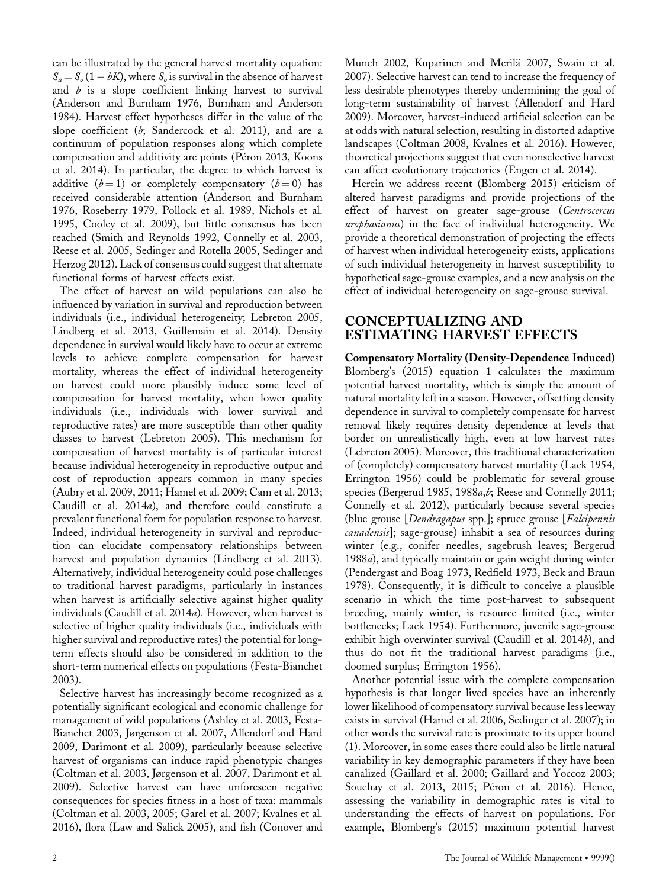can be illustrated by the general harvest mortality equation:  $S_a = S_o (1 - bK)$ , where  $S_o$  is survival in the absence of harvest and  $b$  is a slope coefficient linking harvest to survival (Anderson and Burnham 1976, Burnham and Anderson 1984). Harvest effect hypotheses differ in the value of the slope coefficient (b; Sandercock et al. 2011), and are a continuum of population responses along which complete compensation and additivity are points (Péron 2013, Koons et al. 2014). In particular, the degree to which harvest is additive  $(b=1)$  or completely compensatory  $(b=0)$  has received considerable attention (Anderson and Burnham 1976, Roseberry 1979, Pollock et al. 1989, Nichols et al. 1995, Cooley et al. 2009), but little consensus has been reached (Smith and Reynolds 1992, Connelly et al. 2003, Reese et al. 2005, Sedinger and Rotella 2005, Sedinger and Herzog 2012). Lack of consensus could suggest that alternate functional forms of harvest effects exist.

The effect of harvest on wild populations can also be influenced by variation in survival and reproduction between individuals (i.e., individual heterogeneity; Lebreton 2005, Lindberg et al. 2013, Guillemain et al. 2014). Density dependence in survival would likely have to occur at extreme levels to achieve complete compensation for harvest mortality, whereas the effect of individual heterogeneity on harvest could more plausibly induce some level of compensation for harvest mortality, when lower quality individuals (i.e., individuals with lower survival and reproductive rates) are more susceptible than other quality classes to harvest (Lebreton 2005). This mechanism for compensation of harvest mortality is of particular interest because individual heterogeneity in reproductive output and cost of reproduction appears common in many species (Aubry et al. 2009, 2011; Hamel et al. 2009; Cam et al. 2013; Caudill et al. 2014a), and therefore could constitute a prevalent functional form for population response to harvest. Indeed, individual heterogeneity in survival and reproduction can elucidate compensatory relationships between harvest and population dynamics (Lindberg et al. 2013). Alternatively, individual heterogeneity could pose challenges to traditional harvest paradigms, particularly in instances when harvest is artificially selective against higher quality individuals (Caudill et al. 2014a). However, when harvest is selective of higher quality individuals (i.e., individuals with higher survival and reproductive rates) the potential for longterm effects should also be considered in addition to the short-term numerical effects on populations (Festa-Bianchet 2003).

Selective harvest has increasingly become recognized as a potentially significant ecological and economic challenge for management of wild populations (Ashley et al. 2003, Festa-Bianchet 2003, Jørgenson et al. 2007, Allendorf and Hard 2009, Darimont et al. 2009), particularly because selective harvest of organisms can induce rapid phenotypic changes (Coltman et al. 2003, Jørgenson et al. 2007, Darimont et al. 2009). Selective harvest can have unforeseen negative consequences for species fitness in a host of taxa: mammals (Coltman et al. 2003, 2005; Garel et al. 2007; Kvalnes et al. 2016), flora (Law and Salick 2005), and fish (Conover and Munch 2002, Kuparinen and Merilä 2007, Swain et al. 2007). Selective harvest can tend to increase the frequency of less desirable phenotypes thereby undermining the goal of long-term sustainability of harvest (Allendorf and Hard 2009). Moreover, harvest-induced artificial selection can be at odds with natural selection, resulting in distorted adaptive landscapes (Coltman 2008, Kvalnes et al. 2016). However, theoretical projections suggest that even nonselective harvest can affect evolutionary trajectories (Engen et al. 2014).

Herein we address recent (Blomberg 2015) criticism of altered harvest paradigms and provide projections of the effect of harvest on greater sage-grouse (Centrocercus urophasianus) in the face of individual heterogeneity. We provide a theoretical demonstration of projecting the effects of harvest when individual heterogeneity exists, applications of such individual heterogeneity in harvest susceptibility to hypothetical sage-grouse examples, and a new analysis on the effect of individual heterogeneity on sage-grouse survival.

## CONCEPTUALIZING AND ESTIMATING HARVEST EFFECTS

Compensatory Mortality (Density-Dependence Induced) Blomberg's (2015) equation 1 calculates the maximum potential harvest mortality, which is simply the amount of natural mortality left in a season. However, offsetting density dependence in survival to completely compensate for harvest removal likely requires density dependence at levels that border on unrealistically high, even at low harvest rates (Lebreton 2005). Moreover, this traditional characterization of (completely) compensatory harvest mortality (Lack 1954, Errington 1956) could be problematic for several grouse species (Bergerud 1985, 1988a,b; Reese and Connelly 2011; Connelly et al. 2012), particularly because several species (blue grouse [Dendragapus spp.]; spruce grouse [Falcipennis canadensis]; sage-grouse) inhabit a sea of resources during winter (e.g., conifer needles, sagebrush leaves; Bergerud 1988a), and typically maintain or gain weight during winter (Pendergast and Boag 1973, Redfield 1973, Beck and Braun 1978). Consequently, it is difficult to conceive a plausible scenario in which the time post-harvest to subsequent breeding, mainly winter, is resource limited (i.e., winter bottlenecks; Lack 1954). Furthermore, juvenile sage-grouse exhibit high overwinter survival (Caudill et al. 2014b), and thus do not fit the traditional harvest paradigms (i.e., doomed surplus; Errington 1956).

Another potential issue with the complete compensation hypothesis is that longer lived species have an inherently lower likelihood of compensatory survival because less leeway exists in survival (Hamel et al. 2006, Sedinger et al. 2007); in other words the survival rate is proximate to its upper bound (1). Moreover, in some cases there could also be little natural variability in key demographic parameters if they have been canalized (Gaillard et al. 2000; Gaillard and Yoccoz 2003; Souchay et al. 2013, 2015; Péron et al. 2016). Hence, assessing the variability in demographic rates is vital to understanding the effects of harvest on populations. For example, Blomberg's (2015) maximum potential harvest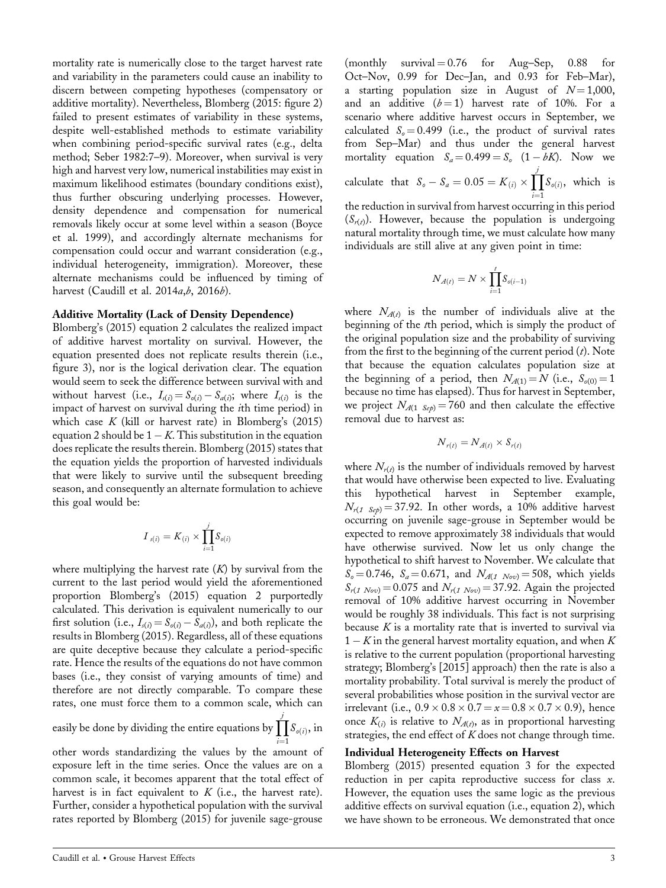mortality rate is numerically close to the target harvest rate and variability in the parameters could cause an inability to discern between competing hypotheses (compensatory or additive mortality). Nevertheless, Blomberg (2015: figure 2) failed to present estimates of variability in these systems, despite well-established methods to estimate variability when combining period-specific survival rates (e.g., delta method; Seber 1982:7–9). Moreover, when survival is very high and harvest very low, numerical instabilities may exist in maximum likelihood estimates (boundary conditions exist), thus further obscuring underlying processes. However, density dependence and compensation for numerical removals likely occur at some level within a season (Boyce et al. 1999), and accordingly alternate mechanisms for compensation could occur and warrant consideration (e.g., individual heterogeneity, immigration). Moreover, these alternate mechanisms could be influenced by timing of harvest (Caudill et al.  $2014a,b, 2016b$ ).

#### Additive Mortality (Lack of Density Dependence)

Blomberg's (2015) equation 2 calculates the realized impact of additive harvest mortality on survival. However, the equation presented does not replicate results therein (i.e., figure 3), nor is the logical derivation clear. The equation would seem to seek the difference between survival with and without harvest (i.e.,  $I_{s(i)} = S_{o(i)} - S_{a(i)}$ ; where  $I_{s(i)}$  is the impact of harvest on survival during the ith time period) in which case K (kill or harvest rate) in Blomberg's  $(2015)$ equation 2 should be  $1 - K$ . This substitution in the equation does replicate the results therein. Blomberg (2015) states that the equation yields the proportion of harvested individuals that were likely to survive until the subsequent breeding season, and consequently an alternate formulation to achieve this goal would be:

$$
I_{s(i)} = K_{(i)} \times \prod_{i=1}^{j} S_{o(i)}
$$

where multiplying the harvest rate  $(K)$  by survival from the current to the last period would yield the aforementioned proportion Blomberg's (2015) equation 2 purportedly calculated. This derivation is equivalent numerically to our first solution (i.e.,  $I_{s(i)} = S_{o(i)} - S_{a(i)}$ ), and both replicate the results in Blomberg (2015). Regardless, all of these equations are quite deceptive because they calculate a period-specific rate. Hence the results of the equations do not have common bases (i.e., they consist of varying amounts of time) and therefore are not directly comparable. To compare these rates, one must force them to a common scale, which can j

#### easily be done by dividing the entire equations by  $\prod S_{o(i)},$  in  $\frac{i=1}{1}$

other words standardizing the values by the amount of exposure left in the time series. Once the values are on a common scale, it becomes apparent that the total effect of harvest is in fact equivalent to K (i.e., the harvest rate). Further, consider a hypothetical population with the survival rates reported by Blomberg (2015) for juvenile sage-grouse

(monthly survival  $= 0.76$  for Aug–Sep, 0.88 for Oct–Nov, 0.99 for Dec–Jan, and 0.93 for Feb–Mar), a starting population size in August of  $N = 1,000$ , and an additive  $(b=1)$  harvest rate of 10%. For a scenario where additive harvest occurs in September, we calculated  $S_0 = 0.499$  (i.e., the product of survival rates from Sep–Mar) and thus under the general harvest mortality equation  $S_a = 0.499 = S_o (1 - bK)$ . Now we calculate that  $S_o - S_a = 0.05 = K_{(i)} \times \prod^j$  $i=1$  $S_{o(i)}$ , which is the reduction in survival from harvest occurring in this period

 $(S_{r(t)})$ . However, because the population is undergoing natural mortality through time, we must calculate how many individuals are still alive at any given point in time:

$$
N_{\mathcal{A}(t)} = N \times \prod_{i=1}^t S_{\mathit{o}(t-1)}
$$

where  $N_{A(t)}$  is the number of individuals alive at the beginning of the tth period, which is simply the product of the original population size and the probability of surviving from the first to the beginning of the current period  $(t)$ . Note that because the equation calculates population size at the beginning of a period, then  $N_{A(1)} = N$  (i.e.,  $S_{o(0)} = 1$ because no time has elapsed). Thus for harvest in September, we project  $N_{A(1 \text{ Sep})} = 760$  and then calculate the effective removal due to harvest as:

$$
N_{r(t)} = N_{A(t)} \times S_{r(t)}
$$

where  $N_{r(t)}$  is the number of individuals removed by harvest that would have otherwise been expected to live. Evaluating this hypothetical harvest in September example,  $N_{r(1\text{ Sep})} = 37.92$ . In other words, a 10% additive harvest occurring on juvenile sage-grouse in September would be expected to remove approximately 38 individuals that would have otherwise survived. Now let us only change the hypothetical to shift harvest to November. We calculate that  $S_0 = 0.746$ ,  $S_a = 0.671$ , and  $N_{A(1 \ N_{ov})} = 508$ , which yields  $S_{r(1 \text{ Nov})} = 0.075$  and  $N_{r(1 \text{ Nov})} = 37.92$ . Again the projected removal of 10% additive harvest occurring in November would be roughly 38 individuals. This fact is not surprising because  $K$  is a mortality rate that is inverted to survival via  $1 - K$  in the general harvest mortality equation, and when K is relative to the current population (proportional harvesting strategy; Blomberg's [2015] approach) then the rate is also a mortality probability. Total survival is merely the product of several probabilities whose position in the survival vector are irrelevant (i.e.,  $0.9 \times 0.8 \times 0.7 = x = 0.8 \times 0.7 \times 0.9$ ), hence once  $K_{(i)}$  is relative to  $N_{A(i)}$ , as in proportional harvesting strategies, the end effect of  $K$  does not change through time.

#### Individual Heterogeneity Effects on Harvest

Blomberg (2015) presented equation 3 for the expected reduction in per capita reproductive success for class  $x$ . However, the equation uses the same logic as the previous additive effects on survival equation (i.e., equation 2), which we have shown to be erroneous. We demonstrated that once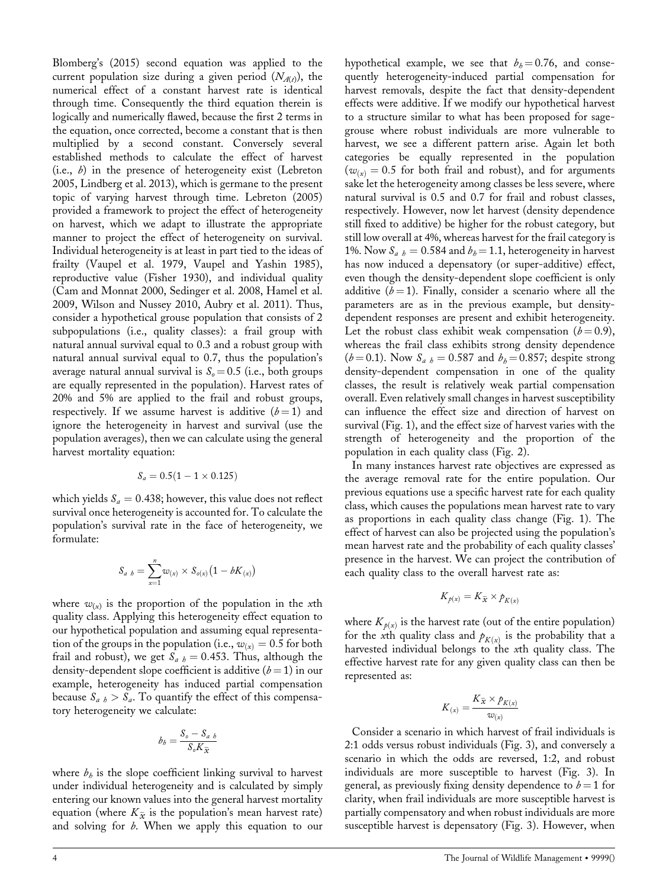Blomberg's (2015) second equation was applied to the current population size during a given period  $(N_{A(t)})$ , the numerical effect of a constant harvest rate is identical through time. Consequently the third equation therein is logically and numerically flawed, because the first 2 terms in the equation, once corrected, become a constant that is then multiplied by a second constant. Conversely several established methods to calculate the effect of harvest  $(i.e., b)$  in the presence of heterogeneity exist (Lebreton 2005, Lindberg et al. 2013), which is germane to the present topic of varying harvest through time. Lebreton (2005) provided a framework to project the effect of heterogeneity on harvest, which we adapt to illustrate the appropriate manner to project the effect of heterogeneity on survival. Individual heterogeneity is at least in part tied to the ideas of frailty (Vaupel et al. 1979, Vaupel and Yashin 1985), reproductive value (Fisher 1930), and individual quality (Cam and Monnat 2000, Sedinger et al. 2008, Hamel et al. 2009, Wilson and Nussey 2010, Aubry et al. 2011). Thus, consider a hypothetical grouse population that consists of 2 subpopulations (i.e., quality classes): a frail group with natural annual survival equal to 0.3 and a robust group with natural annual survival equal to 0.7, thus the population's average natural annual survival is  $S<sub>o</sub> = 0.5$  (i.e., both groups are equally represented in the population). Harvest rates of 20% and 5% are applied to the frail and robust groups, respectively. If we assume harvest is additive  $(b = 1)$  and ignore the heterogeneity in harvest and survival (use the population averages), then we can calculate using the general harvest mortality equation:

$$
S_a = 0.5(1 - 1 \times 0.125)
$$

which yields  $S_a = 0.438$ ; however, this value does not reflect survival once heterogeneity is accounted for. To calculate the population's survival rate in the face of heterogeneity, we formulate:

$$
S_{a, b} = \sum_{x=1}^{n} w_{(x)} \times S_{o(x)} (1 - bK_{(x)})
$$

where  $w_{(x)}$  is the proportion of the population in the xth quality class. Applying this heterogeneity effect equation to our hypothetical population and assuming equal representation of the groups in the population (i.e.,  $w_{(x)} = 0.5$  for both frail and robust), we get  $S_{a}$   $_{b}$  = 0.453. Thus, although the density-dependent slope coefficient is additive  $(b = 1)$  in our example, heterogeneity has induced partial compensation because  $S_{a}$   $_{b} > S_{a}$ . To quantify the effect of this compensatory heterogeneity we calculate:

$$
b_b = \frac{S_o - S_{a b}}{S_o K_{\overline{x}}}
$$

where  $b_h$  is the slope coefficient linking survival to harvest under individual heterogeneity and is calculated by simply entering our known values into the general harvest mortality equation (where  $K_{\overline{x}}$  is the population's mean harvest rate) and solving for  $b$ . When we apply this equation to our hypothetical example, we see that  $b_b = 0.76$ , and consequently heterogeneity-induced partial compensation for harvest removals, despite the fact that density-dependent effects were additive. If we modify our hypothetical harvest to a structure similar to what has been proposed for sagegrouse where robust individuals are more vulnerable to harvest, we see a different pattern arise. Again let both categories be equally represented in the population  $(w_{(x)} = 0.5$  for both frail and robust), and for arguments sake let the heterogeneity among classes be less severe, where natural survival is 0.5 and 0.7 for frail and robust classes, respectively. However, now let harvest (density dependence still fixed to additive) be higher for the robust category, but still low overall at 4%, whereas harvest for the frail category is 1%. Now  $S_{a\,b} = 0.584$  and  $b_b = 1.1$ , heterogeneity in harvest has now induced a depensatory (or super-additive) effect, even though the density-dependent slope coefficient is only additive  $(b = 1)$ . Finally, consider a scenario where all the parameters are as in the previous example, but densitydependent responses are present and exhibit heterogeneity. Let the robust class exhibit weak compensation ( $b = 0.9$ ), whereas the frail class exhibits strong density dependence ( $b = 0.1$ ). Now  $S_{a b} = 0.587$  and  $b_b = 0.857$ ; despite strong density-dependent compensation in one of the quality classes, the result is relatively weak partial compensation overall. Even relatively small changes in harvest susceptibility can influence the effect size and direction of harvest on survival (Fig. 1), and the effect size of harvest varies with the strength of heterogeneity and the proportion of the population in each quality class (Fig. 2).

In many instances harvest rate objectives are expressed as the average removal rate for the entire population. Our previous equations use a specific harvest rate for each quality class, which causes the populations mean harvest rate to vary as proportions in each quality class change (Fig. 1). The effect of harvest can also be projected using the population's mean harvest rate and the probability of each quality classes' presence in the harvest. We can project the contribution of each quality class to the overall harvest rate as:

$$
K_{\rho(x)}=K_{\bar{\mathbf{x}}}\times\rho_{K(x)}
$$

where  $K_{p(x)}$  is the harvest rate (out of the entire population) for the xth quality class and  $p_{K(x)}$  is the probability that a harvested individual belongs to the xth quality class. The effective harvest rate for any given quality class can then be represented as:

$$
K_{(x)} = \frac{K_{\overline{x}} \times \mathcal{P}_{K(x)}}{w_{(x)}}
$$

Consider a scenario in which harvest of frail individuals is 2:1 odds versus robust individuals (Fig. 3), and conversely a scenario in which the odds are reversed, 1:2, and robust individuals are more susceptible to harvest (Fig. 3). In general, as previously fixing density dependence to  $b = 1$  for clarity, when frail individuals are more susceptible harvest is partially compensatory and when robust individuals are more susceptible harvest is depensatory (Fig. 3). However, when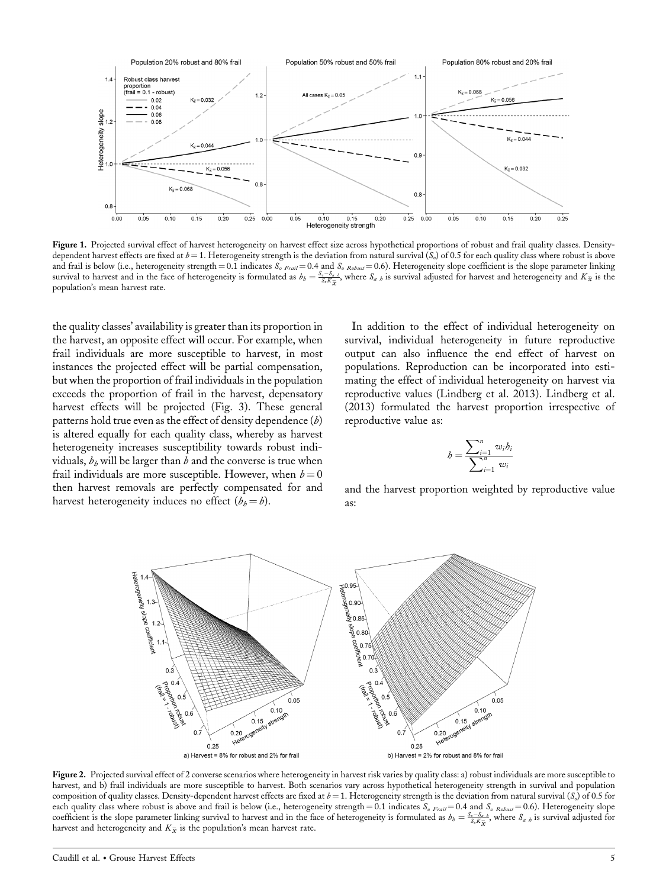

Figure 1. Projected survival effect of harvest heterogeneity on harvest effect size across hypothetical proportions of robust and frail quality classes. Densitydependent harvest effects are fixed at  $b = 1$ . Heterogeneity strength is the deviation from natural survival  $(S_o)$  of 0.5 for each quality class where robust is above and frail is below (i.e., heterogeneity strength = 0.1 indicates  $S_{\rho}$   $_{Pauli}$  = 0.4 and  $S_{\rho}$   $_{Robust}$  = 0.6). Heterogeneity slope coefficient is the slope parameter linking survival to harvest and in the face of heterogeneity is formulated as  $b_b = \frac{S_a - S_a}{S_s K_X}$ , where  $S_a$  is survival adjusted for harvest and heterogeneity and  $K_X$  is the population's mean harvest rate.

the quality classes' availability is greater than its proportion in the harvest, an opposite effect will occur. For example, when frail individuals are more susceptible to harvest, in most instances the projected effect will be partial compensation, but when the proportion of frail individuals in the population exceeds the proportion of frail in the harvest, depensatory harvest effects will be projected (Fig. 3). These general patterns hold true even as the effect of density dependence  $(b)$ is altered equally for each quality class, whereby as harvest heterogeneity increases susceptibility towards robust individuals,  $b_h$  will be larger than b and the converse is true when frail individuals are more susceptible. However, when  $b = 0$ then harvest removals are perfectly compensated for and harvest heterogeneity induces no effect  $(b_h = b)$ .

In addition to the effect of individual heterogeneity on survival, individual heterogeneity in future reproductive output can also influence the end effect of harvest on populations. Reproduction can be incorporated into estimating the effect of individual heterogeneity on harvest via reproductive values (Lindberg et al. 2013). Lindberg et al. (2013) formulated the harvest proportion irrespective of reproductive value as:

$$
b = \frac{\sum_{i=1}^{n} w_i b_i}{\sum_{i=1}^{n} w_i}
$$

and the harvest proportion weighted by reproductive value as:



Figure 2. Projected survival effect of 2 converse scenarios where heterogeneity in harvest risk varies by quality class: a) robust individuals are more susceptible to harvest, and b) frail individuals are more susceptible to harvest. Both scenarios vary across hypothetical heterogeneity strength in survival and population composition of quality classes. Density-dependent harvest effects are fixed at  $b = 1$ . Heterogeneity strength is the deviation from natural survival ( $S<sub>e</sub>$ ) of 0.5 for each quality class where robust is above and frail is below (i.e., heterogeneity strength = 0.1 indicates  $S_{\circ~Fraii}$  = 0.4 and  $S_{\circ~Robust}$  = 0.6). Heterogeneity slope coefficient is the slope parameter linking survival to harvest and in the face of heterogeneity is formulated as  $b_b = \frac{S_a - S_a}{S_s k_{\overline{x}}}$ , where  $S_a$  h is survival adjusted for harvest and heterogeneity and  $K_{\overline{x}}$  is the population's mean harvest rate.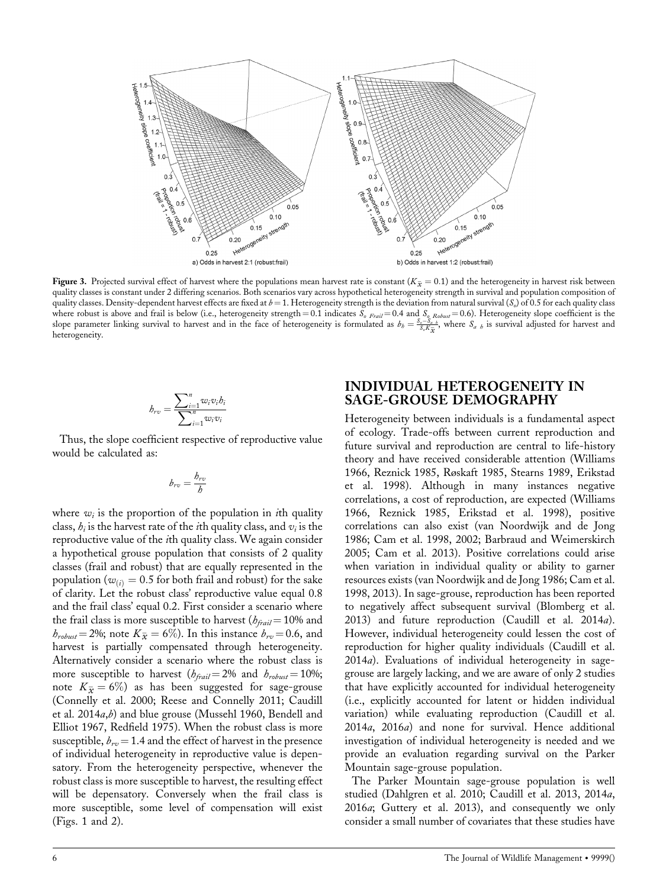

Figure 3. Projected survival effect of harvest where the populations mean harvest rate is constant ( $K_{\overline{x}} = 0.1$ ) and the heterogeneity in harvest risk between quality classes is constant under 2 differing scenarios. Both scenarios vary across hypothetical heterogeneity strength in survival and population composition of quality classes. Density-dependent harvest effects are fixed at  $b=1.$  Heterogeneity strength is the deviation from natural survival (S<sub>o</sub>) of 0.5 for each quality class where robust is above and frail is below (i.e., heterogeneity strength = 0.1 indicates  $S_o$   $_{Feail}$  = 0.4 and  $S_o$   $_{Robust}$  = 0.6). Heterogeneity slope coefficient is the slope parameter linking survival to harvest and in th heterogeneity.

$$
b_{rv} = \frac{\sum_{i=1}^n w_i v_i b_i}{\sum_{i=1}^n w_i v_i}
$$

Thus, the slope coefficient respective of reproductive value would be calculated as:

$$
b_{rv} = \frac{b_{rv}}{b}
$$

where  $w_i$  is the proportion of the population in *i*th quality class,  $h_i$  is the harvest rate of the *i*th quality class, and  $v_i$  is the reproductive value of the ith quality class. We again consider a hypothetical grouse population that consists of 2 quality classes (frail and robust) that are equally represented in the population ( $w_{(i)} = 0.5$  for both frail and robust) for the sake of clarity. Let the robust class' reproductive value equal 0.8 and the frail class' equal 0.2. First consider a scenario where the frail class is more susceptible to harvest ( $h_{\text{fail}}$  = 10% and  $h_{robust} = 2\%$ ; note  $K_{\overline{x}} = 6\%$ ). In this instance  $h_{rv} = 0.6$ , and harvest is partially compensated through heterogeneity. Alternatively consider a scenario where the robust class is more susceptible to harvest ( $b_{\text{frail}} = 2\%$  and  $b_{\text{robust}} = 10\%;$ note  $K_{\overline{x}} = 6\%$  as has been suggested for sage-grouse (Connelly et al. 2000; Reese and Connelly 2011; Caudill et al. 2014a,b) and blue grouse (Mussehl 1960, Bendell and Elliot 1967, Redfield 1975). When the robust class is more susceptible,  $b_{rv} = 1.4$  and the effect of harvest in the presence of individual heterogeneity in reproductive value is depensatory. From the heterogeneity perspective, whenever the robust class is more susceptible to harvest, the resulting effect will be depensatory. Conversely when the frail class is more susceptible, some level of compensation will exist (Figs. 1 and 2).

#### INDIVIDUAL HETEROGENEITY IN SAGE-GROUSE DEMOGRAPHY

Heterogeneity between individuals is a fundamental aspect of ecology. Trade-offs between current reproduction and future survival and reproduction are central to life-history theory and have received considerable attention (Williams 1966, Reznick 1985, Røskaft 1985, Stearns 1989, Erikstad et al. 1998). Although in many instances negative correlations, a cost of reproduction, are expected (Williams 1966, Reznick 1985, Erikstad et al. 1998), positive correlations can also exist (van Noordwijk and de Jong 1986; Cam et al. 1998, 2002; Barbraud and Weimerskirch 2005; Cam et al. 2013). Positive correlations could arise when variation in individual quality or ability to garner resources exists (van Noordwijk and de Jong 1986; Cam et al. 1998, 2013). In sage-grouse, reproduction has been reported to negatively affect subsequent survival (Blomberg et al. 2013) and future reproduction (Caudill et al. 2014a). However, individual heterogeneity could lessen the cost of reproduction for higher quality individuals (Caudill et al. 2014a). Evaluations of individual heterogeneity in sagegrouse are largely lacking, and we are aware of only 2 studies that have explicitly accounted for individual heterogeneity (i.e., explicitly accounted for latent or hidden individual variation) while evaluating reproduction (Caudill et al. 2014a, 2016a) and none for survival. Hence additional investigation of individual heterogeneity is needed and we provide an evaluation regarding survival on the Parker Mountain sage-grouse population.

The Parker Mountain sage-grouse population is well studied (Dahlgren et al. 2010; Caudill et al. 2013, 2014a,  $2016a$ ; Guttery et al. 2013), and consequently we only consider a small number of covariates that these studies have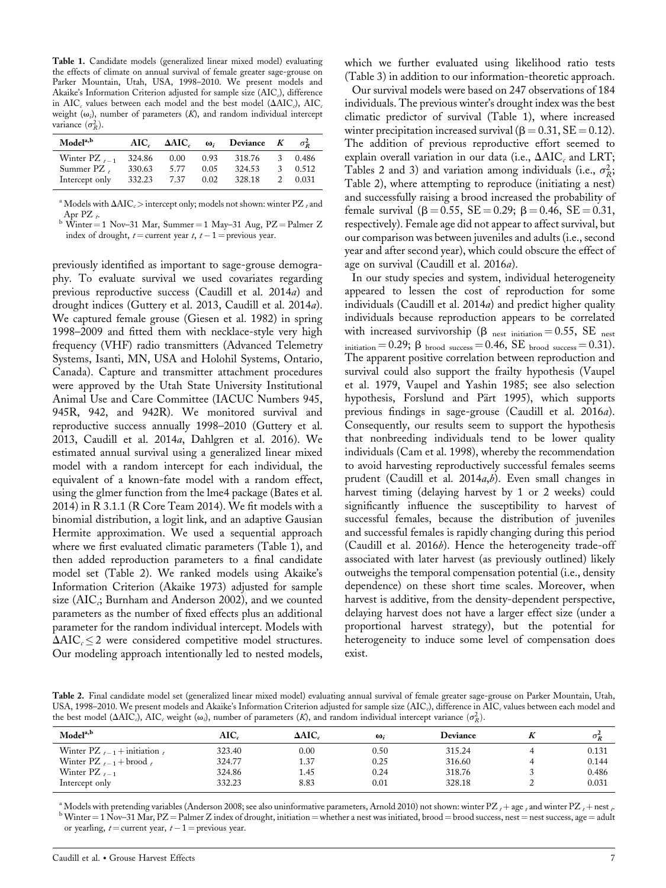Table 1. Candidate models (generalized linear mixed model) evaluating the effects of climate on annual survival of female greater sage-grouse on Parker Mountain, Utah, USA, 1998–2010. We present models and Akaike's Information Criterion adjusted for sample size  $(AIC_c)$ , difference in AIC<sub>c</sub> values between each model and the best model ( $\Delta AIC_c$ ), AIC<sub>c</sub> weight  $(\omega_i)$ , number of parameters  $(K)$ , and random individual intercept variance  $(\sigma_R^2)$ .

| Model <sup>a,b</sup>            | AIC.             | $\Delta AIC$ |              | $\omega_i$ Deviance K |               | $\sigma_{\bf p}^2$ |
|---------------------------------|------------------|--------------|--------------|-----------------------|---------------|--------------------|
| Winter $PZ_{t-1}$<br>Summer PZ. | 324.86<br>330.63 | 0.00<br>5.77 | 0.93<br>0.05 | 318.76<br>324.53      | 3<br>3        | 0.486<br>0.512     |
| Intercept only                  | 332.23           | 7.37         | 0.02         | 328.18                | $\mathcal{L}$ | 0.031              |

<sup>a</sup> Models with  $\Delta AIC_c$  > intercept only; models not shown: winter PZ  $_t$  and Apr PZ  $_t$ .

 $\overline{P}$  Winter = 1 Nov–31 Mar, Summer = 1 May–31 Aug, PZ = Palmer Z index of drought,  $t =$  current year  $t$ ,  $t - 1 =$  previous year.

previously identified as important to sage-grouse demography. To evaluate survival we used covariates regarding previous reproductive success (Caudill et al. 2014a) and drought indices (Guttery et al. 2013, Caudill et al. 2014a). We captured female grouse (Giesen et al. 1982) in spring 1998–2009 and fitted them with necklace-style very high frequency (VHF) radio transmitters (Advanced Telemetry Systems, Isanti, MN, USA and Holohil Systems, Ontario, Canada). Capture and transmitter attachment procedures were approved by the Utah State University Institutional Animal Use and Care Committee (IACUC Numbers 945, 945R, 942, and 942R). We monitored survival and reproductive success annually 1998–2010 (Guttery et al. 2013, Caudill et al. 2014a, Dahlgren et al. 2016). We estimated annual survival using a generalized linear mixed model with a random intercept for each individual, the equivalent of a known-fate model with a random effect, using the glmer function from the lme4 package (Bates et al. 2014) in R 3.1.1 (R Core Team 2014). We fit models with a binomial distribution, a logit link, and an adaptive Gausian Hermite approximation. We used a sequential approach where we first evaluated climatic parameters (Table 1), and then added reproduction parameters to a final candidate model set (Table 2). We ranked models using Akaike's Information Criterion (Akaike 1973) adjusted for sample size (AIC $_{\circ}$ ; Burnham and Anderson 2002), and we counted parameters as the number of fixed effects plus an additional parameter for the random individual intercept. Models with  $\Delta AIC_c \leq 2$  were considered competitive model structures. Our modeling approach intentionally led to nested models, which we further evaluated using likelihood ratio tests (Table 3) in addition to our information-theoretic approach.

Our survival models were based on 247 observations of 184 individuals. The previous winter's drought index was the best climatic predictor of survival (Table 1), where increased winter precipitation increased survival ( $\beta = 0.31$ , SE = 0.12). The addition of previous reproductive effort seemed to explain overall variation in our data (i.e.,  $\Delta AIC_c$  and LRT; Tables 2 and 3) and variation among individuals (i.e.,  $\sigma_R^2$ ; Table 2), where attempting to reproduce (initiating a nest) and successfully raising a brood increased the probability of female survival ( $\beta = 0.55$ , SE = 0.29;  $\beta = 0.46$ , SE = 0.31, respectively). Female age did not appear to affect survival, but our comparison was between juveniles and adults (i.e., second year and after second year), which could obscure the effect of age on survival (Caudill et al. 2016a).

In our study species and system, individual heterogeneity appeared to lessen the cost of reproduction for some individuals (Caudill et al. 2014a) and predict higher quality individuals because reproduction appears to be correlated with increased survivorship ( $\beta$  nest initiation = 0.55, SE nest initiation  $= 0.29$ ;  $\beta$  brood success  $= 0.46$ , SE brood success  $= 0.31$ ). The apparent positive correlation between reproduction and survival could also support the frailty hypothesis (Vaupel et al. 1979, Vaupel and Yashin 1985; see also selection hypothesis, Forslund and Pärt 1995), which supports previous findings in sage-grouse (Caudill et al. 2016a). Consequently, our results seem to support the hypothesis that nonbreeding individuals tend to be lower quality individuals (Cam et al. 1998), whereby the recommendation to avoid harvesting reproductively successful females seems prudent (Caudill et al. 2014 $a,b$ ). Even small changes in harvest timing (delaying harvest by 1 or 2 weeks) could significantly influence the susceptibility to harvest of successful females, because the distribution of juveniles and successful females is rapidly changing during this period (Caudill et al. 2016b). Hence the heterogeneity trade-off associated with later harvest (as previously outlined) likely outweighs the temporal compensation potential (i.e., density dependence) on these short time scales. Moreover, when harvest is additive, from the density-dependent perspective, delaying harvest does not have a larger effect size (under a proportional harvest strategy), but the potential for heterogeneity to induce some level of compensation does exist.

Table 2. Final candidate model set (generalized linear mixed model) evaluating annual survival of female greater sage-grouse on Parker Mountain, Utah, USA, 1998–2010. We present models and Akaike's Information Criterion adjusted for sample size (AIC<sub>c</sub>), difference in AIC<sub>c</sub> values between each model and the best model ( $\triangle AIC_c$ ),  $\triangle AIC_c$  weight ( $\omega_i$ ), number of parameters (K), and random individual intercept variance  $(\sigma_R^2)$ .

| Model <sup>a,b</sup>                 | $AIC_{c}$ | $\Delta AIC$ | $\omega$ | Deviance | $\sigma_R^2$ |
|--------------------------------------|-----------|--------------|----------|----------|--------------|
| Winter PZ $_{t-1}$ + initiation $_t$ | 323.40    | $0.00\,$     | 0.50     | 315.24   | 0.131        |
| Winter PZ $_{t=1}$ + brood $_t$      | 324.77    | 1.37         | 0.25     | 316.60   | 0.144        |
| Winter PZ $_{t=1}$                   | 324.86    | 1.45         | 0.24     | 318.76   | 0.486        |
| Intercept only                       | 332.23    | 8.83         | 0.01     | 328.18   | 0.031        |

<sup>a</sup> Models with pretending variables (Anderson 2008; see also uninformative parameters, Arnold 2010) not shown: winter PZ<sub>t</sub>+age<sub>t</sub> and winter PZ<sub>t</sub>+nest<sub>t</sub>.<br><sup>b</sup> Winter = 1 Nov–31 Mar, PZ = Palmer Z index of drought, init or yearling,  $t =$  current year,  $t - 1 =$  previous year.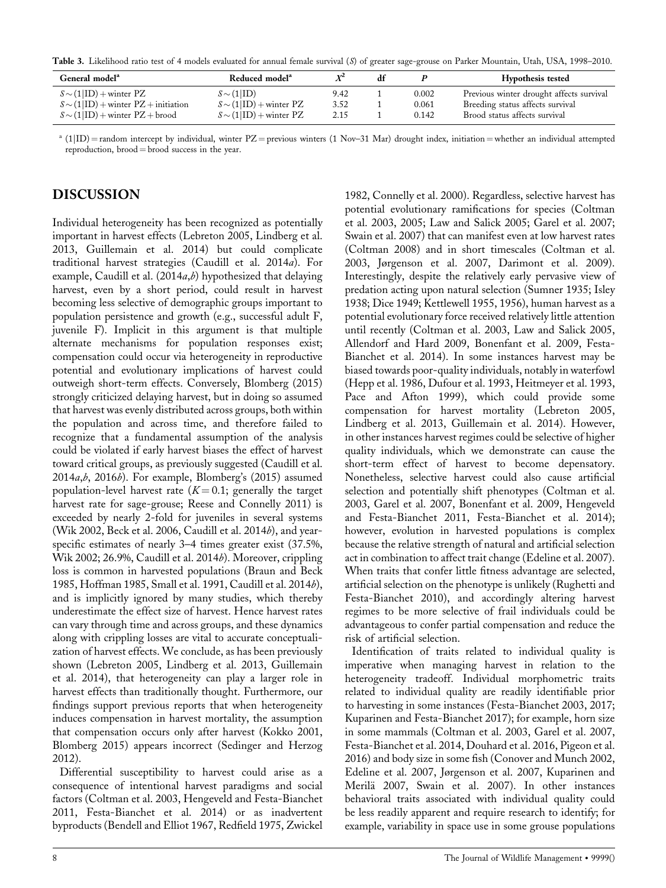Table 3. Likelihood ratio test of 4 models evaluated for annual female survival (S) of greater sage-grouse on Parker Mountain, Utah, USA, 1998–2010.

| General model <sup>a</sup>               | Reduced model <sup>a</sup>  | $X^2$ | df |       | <b>Hypothesis tested</b>                 |
|------------------------------------------|-----------------------------|-------|----|-------|------------------------------------------|
| $S \sim (1 ID) +$ winter PZ              | $S \sim (1 \text{ID})$      | 9.42  |    | 0.002 | Previous winter drought affects survival |
| $S \sim (1 ID) +$ winter PZ + initiation | $S \sim (1 ID) +$ winter PZ | 3.52  |    | 0.061 | Breeding status affects survival         |
| $S \sim (1 1D) +$ winter PZ + brood      | $S \sim (1 ID) +$ winter PZ | 2.15  |    | 0.142 | Brood status affects survival            |

<sup>a</sup> (1|ID) = random intercept by individual, winter PZ = previous winters (1 Nov–31 Mar) drought index, initiation = whether an individual attempted  $reproduction, broad = broad success in the year.$ 

## DISCUSSION

Individual heterogeneity has been recognized as potentially important in harvest effects (Lebreton 2005, Lindberg et al. 2013, Guillemain et al. 2014) but could complicate traditional harvest strategies (Caudill et al. 2014a). For example, Caudill et al. (2014a,b) hypothesized that delaying harvest, even by a short period, could result in harvest becoming less selective of demographic groups important to population persistence and growth (e.g., successful adult F, juvenile F). Implicit in this argument is that multiple alternate mechanisms for population responses exist; compensation could occur via heterogeneity in reproductive potential and evolutionary implications of harvest could outweigh short-term effects. Conversely, Blomberg (2015) strongly criticized delaying harvest, but in doing so assumed that harvest was evenly distributed across groups, both within the population and across time, and therefore failed to recognize that a fundamental assumption of the analysis could be violated if early harvest biases the effect of harvest toward critical groups, as previously suggested (Caudill et al.  $2014a,b, 2016b$ . For example, Blomberg's  $(2015)$  assumed population-level harvest rate  $(K = 0.1;$  generally the target harvest rate for sage-grouse; Reese and Connelly 2011) is exceeded by nearly 2-fold for juveniles in several systems (Wik 2002, Beck et al. 2006, Caudill et al. 2014b), and yearspecific estimates of nearly 3–4 times greater exist (37.5%, Wik 2002; 26.9%, Caudill et al. 2014b). Moreover, crippling loss is common in harvested populations (Braun and Beck 1985, Hoffman 1985, Small et al. 1991, Caudill et al. 2014b), and is implicitly ignored by many studies, which thereby underestimate the effect size of harvest. Hence harvest rates can vary through time and across groups, and these dynamics along with crippling losses are vital to accurate conceptualization of harvest effects. We conclude, as has been previously shown (Lebreton 2005, Lindberg et al. 2013, Guillemain et al. 2014), that heterogeneity can play a larger role in harvest effects than traditionally thought. Furthermore, our findings support previous reports that when heterogeneity induces compensation in harvest mortality, the assumption that compensation occurs only after harvest (Kokko 2001, Blomberg 2015) appears incorrect (Sedinger and Herzog 2012).

Differential susceptibility to harvest could arise as a consequence of intentional harvest paradigms and social factors (Coltman et al. 2003, Hengeveld and Festa-Bianchet 2011, Festa-Bianchet et al. 2014) or as inadvertent byproducts (Bendell and Elliot 1967, Redfield 1975, Zwickel

1982, Connelly et al. 2000). Regardless, selective harvest has potential evolutionary ramifications for species (Coltman et al. 2003, 2005; Law and Salick 2005; Garel et al. 2007; Swain et al. 2007) that can manifest even at low harvest rates (Coltman 2008) and in short timescales (Coltman et al. 2003, Jørgenson et al. 2007, Darimont et al. 2009). Interestingly, despite the relatively early pervasive view of predation acting upon natural selection (Sumner 1935; Isley 1938; Dice 1949; Kettlewell 1955, 1956), human harvest as a potential evolutionary force received relatively little attention until recently (Coltman et al. 2003, Law and Salick 2005, Allendorf and Hard 2009, Bonenfant et al. 2009, Festa-Bianchet et al. 2014). In some instances harvest may be biased towards poor-quality individuals, notably in waterfowl (Hepp et al. 1986, Dufour et al. 1993, Heitmeyer et al. 1993, Pace and Afton 1999), which could provide some compensation for harvest mortality (Lebreton 2005, Lindberg et al. 2013, Guillemain et al. 2014). However, in other instances harvest regimes could be selective of higher quality individuals, which we demonstrate can cause the short-term effect of harvest to become depensatory. Nonetheless, selective harvest could also cause artificial selection and potentially shift phenotypes (Coltman et al. 2003, Garel et al. 2007, Bonenfant et al. 2009, Hengeveld and Festa-Bianchet 2011, Festa-Bianchet et al. 2014); however, evolution in harvested populations is complex because the relative strength of natural and artificial selection act in combination to affect trait change (Edeline et al. 2007). When traits that confer little fitness advantage are selected, artificial selection on the phenotype is unlikely (Rughetti and Festa-Bianchet 2010), and accordingly altering harvest regimes to be more selective of frail individuals could be advantageous to confer partial compensation and reduce the risk of artificial selection.

Identification of traits related to individual quality is imperative when managing harvest in relation to the heterogeneity tradeoff. Individual morphometric traits related to individual quality are readily identifiable prior to harvesting in some instances (Festa-Bianchet 2003, 2017; Kuparinen and Festa-Bianchet 2017); for example, horn size in some mammals (Coltman et al. 2003, Garel et al. 2007, Festa-Bianchet et al. 2014, Douhard et al. 2016, Pigeon et al. 2016) and body size in some fish (Conover and Munch 2002, Edeline et al. 2007, Jørgenson et al. 2007, Kuparinen and Merilä 2007, Swain et al. 2007). In other instances behavioral traits associated with individual quality could be less readily apparent and require research to identify; for example, variability in space use in some grouse populations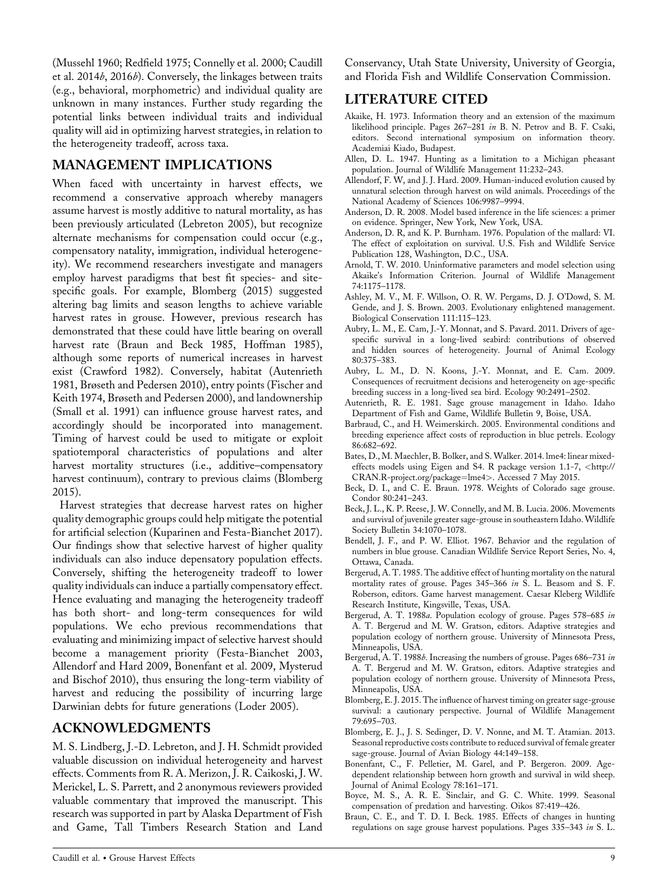(Mussehl 1960; Redfield 1975; Connelly et al. 2000; Caudill et al. 2014b, 2016b). Conversely, the linkages between traits (e.g., behavioral, morphometric) and individual quality are unknown in many instances. Further study regarding the potential links between individual traits and individual quality will aid in optimizing harvest strategies, in relation to the heterogeneity tradeoff, across taxa.

## MANAGEMENT IMPLICATIONS

When faced with uncertainty in harvest effects, we recommend a conservative approach whereby managers assume harvest is mostly additive to natural mortality, as has been previously articulated (Lebreton 2005), but recognize alternate mechanisms for compensation could occur (e.g., compensatory natality, immigration, individual heterogeneity). We recommend researchers investigate and managers employ harvest paradigms that best fit species- and sitespecific goals. For example, Blomberg (2015) suggested altering bag limits and season lengths to achieve variable harvest rates in grouse. However, previous research has demonstrated that these could have little bearing on overall harvest rate (Braun and Beck 1985, Hoffman 1985), although some reports of numerical increases in harvest exist (Crawford 1982). Conversely, habitat (Autenrieth 1981, Brøseth and Pedersen 2010), entry points (Fischer and Keith 1974, Brøseth and Pedersen 2000), and landownership (Small et al. 1991) can influence grouse harvest rates, and accordingly should be incorporated into management. Timing of harvest could be used to mitigate or exploit spatiotemporal characteristics of populations and alter harvest mortality structures (i.e., additive–compensatory harvest continuum), contrary to previous claims (Blomberg 2015).

Harvest strategies that decrease harvest rates on higher quality demographic groups could help mitigate the potential for artificial selection (Kuparinen and Festa-Bianchet 2017). Our findings show that selective harvest of higher quality individuals can also induce depensatory population effects. Conversely, shifting the heterogeneity tradeoff to lower quality individuals can induce a partially compensatory effect. Hence evaluating and managing the heterogeneity tradeoff has both short- and long-term consequences for wild populations. We echo previous recommendations that evaluating and minimizing impact of selective harvest should become a management priority (Festa-Bianchet 2003, Allendorf and Hard 2009, Bonenfant et al. 2009, Mysterud and Bischof 2010), thus ensuring the long-term viability of harvest and reducing the possibility of incurring large Darwinian debts for future generations (Loder 2005).

## ACKNOWLEDGMENTS

M. S. Lindberg, J.-D. Lebreton, and J. H. Schmidt provided valuable discussion on individual heterogeneity and harvest effects. Comments from R. A. Merizon, J. R. Caikoski, J. W. Merickel, L. S. Parrett, and 2 anonymous reviewers provided valuable commentary that improved the manuscript. This research was supported in part by Alaska Department of Fish and Game, Tall Timbers Research Station and Land

Conservancy, Utah State University, University of Georgia, and Florida Fish and Wildlife Conservation Commission.

# LITERATURE CITED

- Akaike, H. 1973. Information theory and an extension of the maximum likelihood principle. Pages 267–281 in B. N. Petrov and B. F. Csaki, editors. Second international symposium on information theory. Academiai Kiado, Budapest.
- Allen, D. L. 1947. Hunting as a limitation to a Michigan pheasant population. Journal of Wildlife Management 11:232–243.
- Allendorf, F. W, and J. J. Hard. 2009. Human-induced evolution caused by unnatural selection through harvest on wild animals. Proceedings of the National Academy of Sciences 106:9987–9994.
- Anderson, D. R. 2008. Model based inference in the life sciences: a primer on evidence. Springer, New York, New York, USA.
- Anderson, D. R, and K. P. Burnham. 1976. Population of the mallard: VI. The effect of exploitation on survival. U.S. Fish and Wildlife Service Publication 128, Washington, D.C., USA.
- Arnold, T. W. 2010. Uninformative parameters and model selection using Akaike's Information Criterion. Journal of Wildlife Management 74:1175–1178.
- Ashley, M. V., M. F. Willson, O. R. W. Pergams, D. J. O'Dowd, S. M. Gende, and J. S. Brown. 2003. Evolutionary enlightened management. Biological Conservation 111:115–123.
- Aubry, L. M., E. Cam, J.-Y. Monnat, and S. Pavard. 2011. Drivers of agespecific survival in a long-lived seabird: contributions of observed and hidden sources of heterogeneity. Journal of Animal Ecology 80:375–383.
- Aubry, L. M., D. N. Koons, J.-Y. Monnat, and E. Cam. 2009. Consequences of recruitment decisions and heterogeneity on age-specific breeding success in a long-lived sea bird. Ecology 90:2491–2502.
- Autenrieth, R. E. 1981. Sage grouse management in Idaho. Idaho Department of Fish and Game, Wildlife Bulletin 9, Boise, USA.
- Barbraud, C., and H. Weimerskirch. 2005. Environmental conditions and breeding experience affect costs of reproduction in blue petrels. Ecology 86:682–692.
- Bates, D., M. Maechler, B. Bolker, and S. Walker. 2014. lme4: linear mixedeffects models using Eigen and S4. R package version 1.1-7, <[http://](http://CRAN.R-project.org/package=lme4) [CRAN.R-project.org/package](http://CRAN.R-project.org/package=lme4)=lme4>. Accessed 7 May 2015.
- Beck, D. I., and C. E. Braun. 1978. Weights of Colorado sage grouse. Condor 80:241–243.
- Beck, J. L., K. P. Reese, J. W. Connelly, and M. B. Lucia. 2006. Movements and survival of juvenile greater sage-grouse in southeastern Idaho. Wildlife Society Bulletin 34:1070–1078.
- Bendell, J. F., and P. W. Elliot. 1967. Behavior and the regulation of numbers in blue grouse. Canadian Wildlife Service Report Series, No. 4, Ottawa, Canada.
- Bergerud, A. T. 1985. The additive effect of hunting mortality on the natural mortality rates of grouse. Pages 345–366 in S. L. Beasom and S. F. Roberson, editors. Game harvest management. Caesar Kleberg Wildlife Research Institute, Kingsville, Texas, USA.
- Bergerud, A. T. 1988a. Population ecology of grouse. Pages 578-685 in A. T. Bergerud and M. W. Gratson, editors. Adaptive strategies and population ecology of northern grouse. University of Minnesota Press, Minneapolis, USA.
- Bergerud, A. T. 1988b. Increasing the numbers of grouse. Pages 686-731 in A. T. Bergerud and M. W. Gratson, editors. Adaptive strategies and population ecology of northern grouse. University of Minnesota Press, Minneapolis, USA.
- Blomberg, E. J. 2015. The influence of harvest timing on greater sage-grouse survival: a cautionary perspective. Journal of Wildlife Management 79:695–703.
- Blomberg, E. J., J. S. Sedinger, D. V. Nonne, and M. T. Atamian. 2013. Seasonal reproductive costs contribute to reduced survival of female greater sage-grouse. Journal of Avian Biology 44:149–158.
- Bonenfant, C., F. Pelletier, M. Garel, and P. Bergeron. 2009. Agedependent relationship between horn growth and survival in wild sheep. Journal of Animal Ecology 78:161–171.
- Boyce, M. S., A. R. E. Sinclair, and G. C. White. 1999. Seasonal compensation of predation and harvesting. Oikos 87:419–426.
- Braun, C. E., and T. D. I. Beck. 1985. Effects of changes in hunting regulations on sage grouse harvest populations. Pages 335–343 in S. L.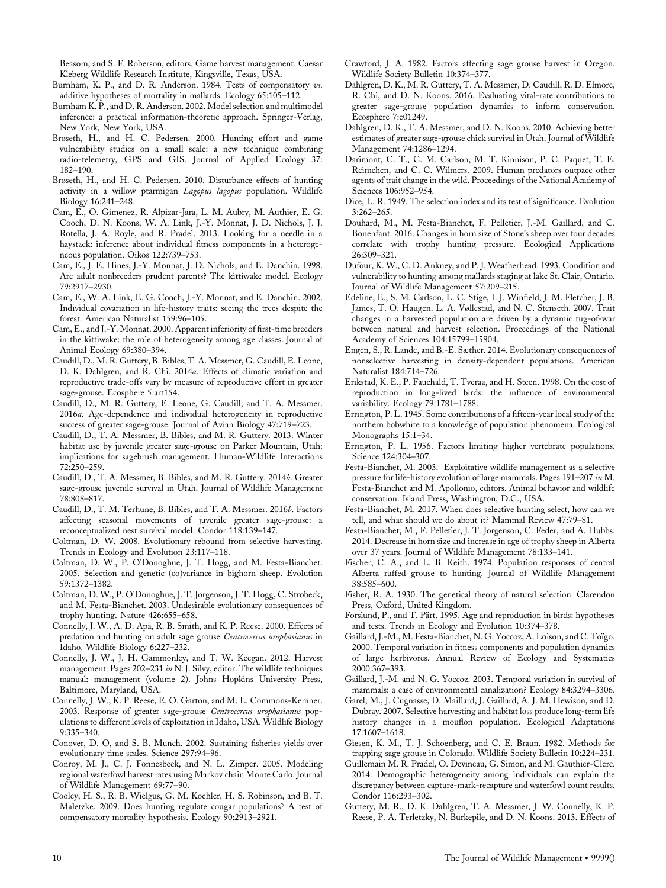Beasom, and S. F. Roberson, editors. Game harvest management. Caesar Kleberg Wildlife Research Institute, Kingsville, Texas, USA.

- Burnham, K. P., and D. R. Anderson. 1984. Tests of compensatory vs. additive hypotheses of mortality in mallards. Ecology 65:105–112.
- Burnham K. P., and D. R. Anderson. 2002. Model selection and multimodel inference: a practical information-theoretic approach. Springer-Verlag, New York, New York, USA.
- Brøseth, H., and H. C. Pedersen. 2000. Hunting effort and game vulnerability studies on a small scale: a new technique combining radio-telemetry, GPS and GIS. Journal of Applied Ecology 37: 182–190.
- Brøseth, H., and H. C. Pedersen. 2010. Disturbance effects of hunting activity in a willow ptarmigan Lagopus lagopus population. Wildlife Biology 16:241–248.
- Cam, E., O. Gimenez, R. Alpizar-Jara, L. M. Aubry, M. Authier, E. G. Cooch, D. N. Koons, W. A. Link, J.-Y. Monnat, J. D. Nichols, J. J. Rotella, J. A. Royle, and R. Pradel. 2013. Looking for a needle in a haystack: inference about individual fitness components in a heterogeneous population. Oikos 122:739–753.
- Cam, E., J. E. Hines, J.-Y. Monnat, J. D. Nichols, and E. Danchin. 1998. Are adult nonbreeders prudent parents? The kittiwake model. Ecology 79:2917–2930.
- Cam, E., W. A. Link, E. G. Cooch, J.-Y. Monnat, and E. Danchin. 2002. Individual covariation in life-history traits: seeing the trees despite the forest. American Naturalist 159:96–105.
- Cam, E., and J.-Y. Monnat. 2000. Apparent inferiority of first-time breeders in the kittiwake: the role of heterogeneity among age classes. Journal of Animal Ecology 69:380–394.
- Caudill, D., M. R. Guttery, B. Bibles, T. A. Messmer, G. Caudill, E. Leone, D. K. Dahlgren, and R. Chi. 2014a. Effects of climatic variation and reproductive trade-offs vary by measure of reproductive effort in greater sage-grouse. Ecosphere 5:art154.
- Caudill, D., M. R. Guttery, E. Leone, G. Caudill, and T. A. Messmer. 2016a. Age-dependence and individual heterogeneity in reproductive success of greater sage-grouse. Journal of Avian Biology 47:719–723.
- Caudill, D., T. A. Messmer, B. Bibles, and M. R. Guttery. 2013. Winter habitat use by juvenile greater sage-grouse on Parker Mountain, Utah: implications for sagebrush management. Human-Wildlife Interactions 72:250–259.
- Caudill, D., T. A. Messmer, B. Bibles, and M. R. Guttery. 2014b. Greater sage-grouse juvenile survival in Utah. Journal of Wildlife Management 78:808–817.
- Caudill, D., T. M. Terhune, B. Bibles, and T. A. Messmer. 2016b. Factors affecting seasonal movements of juvenile greater sage-grouse: a reconceptualized nest survival model. Condor 118:139–147.
- Coltman, D. W. 2008. Evolutionary rebound from selective harvesting. Trends in Ecology and Evolution 23:117–118.
- Coltman, D. W., P. O'Donoghue, J. T. Hogg, and M. Festa-Bianchet. 2005. Selection and genetic (co)variance in bighorn sheep. Evolution 59:1372–1382.
- Coltman, D. W., P. O'Donoghue, J. T. Jorgenson, J. T. Hogg, C. Strobeck, and M. Festa-Bianchet. 2003. Undesirable evolutionary consequences of trophy hunting. Nature 426:655–658.
- Connelly, J. W., A. D. Apa, R. B. Smith, and K. P. Reese. 2000. Effects of predation and hunting on adult sage grouse Centrocercus urophasianus in Idaho. Wildlife Biology 6:227–232.
- Connelly, J. W., J. H. Gammonley, and T. W. Keegan. 2012. Harvest management. Pages 202–231 in N. J. Silvy, editor. The wildlife techniques manual: management (volume 2). Johns Hopkins University Press, Baltimore, Maryland, USA.
- Connelly, J. W., K. P. Reese, E. O. Garton, and M. L. Commons-Kemner. 2003. Response of greater sage-grouse Centrocercus urophasianus populations to different levels of exploitation in Idaho, USA. Wildlife Biology 9:335–340.
- Conover, D. O, and S. B. Munch. 2002. Sustaining fisheries yields over evolutionary time scales. Science 297:94–96.
- Conroy, M. J., C. J. Fonnesbeck, and N. L. Zimper. 2005. Modeling regional waterfowl harvest rates using Markov chain Monte Carlo. Journal of Wildlife Management 69:77–90.
- Cooley, H. S., R. B. Wielgus, G. M. Koehler, H. S. Robinson, and B. T. Maletzke. 2009. Does hunting regulate cougar populations? A test of compensatory mortality hypothesis. Ecology 90:2913–2921.
- Crawford, J. A. 1982. Factors affecting sage grouse harvest in Oregon. Wildlife Society Bulletin 10:374–377.
- Dahlgren, D. K., M. R. Guttery, T. A. Messmer, D. Caudill, R. D. Elmore, R. Chi, and D. N. Koons. 2016. Evaluating vital-rate contributions to greater sage-grouse population dynamics to inform conservation. Ecosphere 7:e01249.
- Dahlgren, D. K., T. A. Messmer, and D. N. Koons. 2010. Achieving better estimates of greater sage-grouse chick survival in Utah. Journal of Wildlife Management 74:1286–1294.
- Darimont, C. T., C. M. Carlson, M. T. Kinnison, P. C. Paquet, T. E. Reimchen, and C. C. Wilmers. 2009. Human predators outpace other agents of trait change in the wild. Proceedings of the National Academy of Sciences 106:952–954.
- Dice, L. R. 1949. The selection index and its test of significance. Evolution 3:262–265.
- Douhard, M., M. Festa-Bianchet, F. Pelletier, J.-M. Gaillard, and C. Bonenfant. 2016. Changes in horn size of Stone's sheep over four decades correlate with trophy hunting pressure. Ecological Applications 26:309–321.
- Dufour, K. W., C. D. Ankney, and P. J. Weatherhead. 1993. Condition and vulnerability to hunting among mallards staging at lake St. Clair, Ontario. Journal of Wildlife Management 57:209–215.
- Edeline, E., S. M. Carlson, L. C. Stige, I. J. Winfield, J. M. Fletcher, J. B. James, T. O. Haugen. L. A. Vøllestad, and N. C. Stenseth. 2007. Trait changes in a harvested population are driven by a dynamic tug-of-war between natural and harvest selection. Proceedings of the National Academy of Sciences 104:15799–15804.
- Engen, S., R. Lande, and B.-E. Sæther. 2014. Evolutionary consequences of nonselective harvesting in density-dependent populations. American Naturalist 184:714–726.
- Erikstad, K. E., P. Fauchald, T. Tveraa, and H. Steen. 1998. On the cost of reproduction in long-lived birds: the influence of environmental variability. Ecology 79:1781–1788.
- Errington, P. L. 1945. Some contributions of a fifteen-year local study of the northern bobwhite to a knowledge of population phenomena. Ecological Monographs 15:1–34.
- Errington, P. L. 1956. Factors limiting higher vertebrate populations. Science 124:304–307.
- Festa-Bianchet, M. 2003. Exploitative wildlife management as a selective pressure for life-history evolution of large mammals. Pages 191–207 in M. Festa-Bianchet and M. Apollonio, editors. Animal behavior and wildlife conservation. Island Press, Washington, D.C., USA.
- Festa-Bianchet, M. 2017. When does selective hunting select, how can we tell, and what should we do about it? Mammal Review 47:79–81.
- Festa-Bianchet, M., F. Pelletier, J. T. Jorgenson, C. Feder, and A. Hubbs. 2014. Decrease in horn size and increase in age of trophy sheep in Alberta over 37 years. Journal of Wildlife Management 78:133–141.
- Fischer, C. A., and L. B. Keith. 1974. Population responses of central Alberta ruffed grouse to hunting. Journal of Wildlife Management 38:585–600.
- Fisher, R. A. 1930. The genetical theory of natural selection. Clarendon Press, Oxford, United Kingdom.
- Forslund, P., and T. Pärt. 1995. Age and reproduction in birds: hypotheses and tests. Trends in Ecology and Evolution 10:374–378.
- Gaillard, J.-M., M. Festa-Bianchet, N. G. Yoccoz, A. Loison, and C. Toïgo. 2000. Temporal variation in fitness components and population dynamics of large herbivores. Annual Review of Ecology and Systematics 2000:367–393.
- Gaillard, J.-M. and N. G. Yoccoz. 2003. Temporal variation in survival of mammals: a case of environmental canalization? Ecology 84:3294–3306.
- Garel, M., J. Cugnasse, D. Maillard, J. Gaillard, A. J. M. Hewison, and D. Dubray. 2007. Selective harvesting and habitat loss produce long-term life history changes in a mouflon population. Ecological Adaptations 17:1607–1618.
- Giesen, K. M., T. J. Schoenberg, and C. E. Braun. 1982. Methods for trapping sage grouse in Colorado. Wildlife Society Bulletin 10:224–231.
- Guillemain M. R. Pradel, O. Devineau, G. Simon, and M. Gauthier-Clerc. 2014. Demographic heterogeneity among individuals can explain the discrepancy between capture-mark-recapture and waterfowl count results. Condor 116:293–302.
- Guttery, M. R., D. K. Dahlgren, T. A. Messmer, J. W. Connelly, K. P. Reese, P. A. Terletzky, N. Burkepile, and D. N. Koons. 2013. Effects of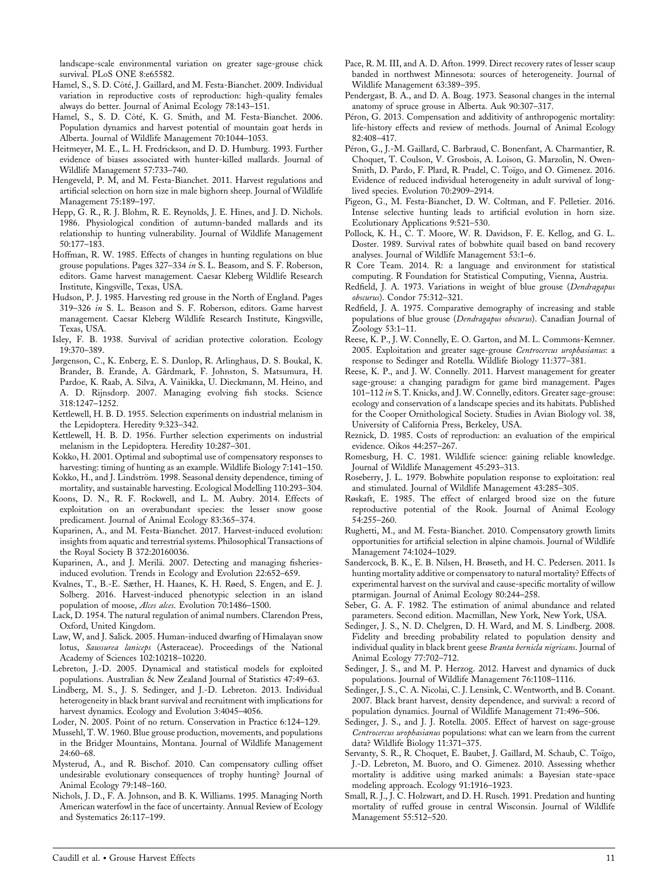landscape-scale environmental variation on greater sage-grouse chick survival. PLoS ONE 8:e65582.

- Hamel, S., S. D. Côté, J. Gaillard, and M. Festa-Bianchet. 2009. Individual variation in reproductive costs of reproduction: high-quality females always do better. Journal of Animal Ecology 78:143–151.
- Hamel, S., S. D. Côté, K. G. Smith, and M. Festa-Bianchet. 2006. Population dynamics and harvest potential of mountain goat herds in Alberta. Journal of Wildlife Management 70:1044–1053.
- Heitmeyer, M. E., L. H. Fredrickson, and D. D. Humburg. 1993. Further evidence of biases associated with hunter-killed mallards. Journal of Wildlife Management 57:733–740.
- Hengeveld, P. M, and M. Festa-Bianchet. 2011. Harvest regulations and artificial selection on horn size in male bighorn sheep. Journal of Wildlife Management 75:189–197.
- Hepp, G. R., R. J. Blohm, R. E. Reynolds, J. E. Hines, and J. D. Nichols. 1986. Physiological condition of autumn-banded mallards and its relationship to hunting vulnerability. Journal of Wildlife Management 50:177–183.
- Hoffman, R. W. 1985. Effects of changes in hunting regulations on blue grouse populations. Pages 327–334 in S. L. Beasom, and S. F. Roberson, editors. Game harvest management. Caesar Kleberg Wildlife Research Institute, Kingsville, Texas, USA.
- Hudson, P. J. 1985. Harvesting red grouse in the North of England. Pages 319–326 in S. L. Beason and S. F. Roberson, editors. Game harvest management. Caesar Kleberg Wildlife Research Institute, Kingsville, Texas, USA.
- Isley, F. B. 1938. Survival of acridian protective coloration. Ecology 19:370–389.
- Jørgenson, C., K. Enberg, E. S. Dunlop, R. Arlinghaus, D. S. Boukal, K. Brander, B. Erande, A. Gårdmark, F. Johnston, S. Matsumura, H. Pardoe, K. Raab, A. Silva, A. Vainikka, U. Dieckmann, M. Heino, and A. D. Rijnsdorp. 2007. Managing evolving fish stocks. Science 318:1247–1252.
- Kettlewell, H. B. D. 1955. Selection experiments on industrial melanism in the Lepidoptera. Heredity 9:323–342.
- Kettlewell, H. B. D. 1956. Further selection experiments on industrial melanism in the Lepidoptera. Heredity 10:287–301.
- Kokko, H. 2001. Optimal and suboptimal use of compensatory responses to harvesting: timing of hunting as an example. Wildlife Biology 7:141–150.
- Kokko, H., and J. Lindström. 1998. Seasonal density dependence, timing of mortality, and sustainable harvesting. Ecological Modelling 110:293–304.
- Koons, D. N., R. F. Rockwell, and L. M. Aubry. 2014. Effects of exploitation on an overabundant species: the lesser snow goose predicament. Journal of Animal Ecology 83:365–374.
- Kuparinen, A., and M. Festa-Bianchet. 2017. Harvest-induced evolution: insights from aquatic and terrestrial systems. Philosophical Transactions of the Royal Society B 372:20160036.
- Kuparinen, A., and J. Merilä. 2007. Detecting and managing fisheriesinduced evolution. Trends in Ecology and Evolution 22:652–659.
- Kvalnes, T., B.-E. Sæther, H. Haanes, K. H. Røed, S. Engen, and E. J. Solberg. 2016. Harvest-induced phenotypic selection in an island population of moose, Alces alces. Evolution 70:1486-1500.
- Lack, D. 1954. The natural regulation of animal numbers. Clarendon Press, Oxford, United Kingdom.
- Law, W, and J. Salick. 2005. Human-induced dwarfing of Himalayan snow lotus, Saussurea laniceps (Asteraceae). Proceedings of the National Academy of Sciences 102:10218–10220.
- Lebreton, J.-D. 2005. Dynamical and statistical models for exploited populations. Australian & New Zealand Journal of Statistics 47:49–63.
- Lindberg, M. S., J. S. Sedinger, and J.-D. Lebreton. 2013. Individual heterogeneity in black brant survival and recruitment with implications for harvest dynamics. Ecology and Evolution 3:4045–4056.
- Loder, N. 2005. Point of no return. Conservation in Practice 6:124–129.
- Mussehl, T. W. 1960. Blue grouse production, movements, and populations in the Bridger Mountains, Montana. Journal of Wildlife Management 24:60–68.
- Mysterud, A., and R. Bischof. 2010. Can compensatory culling offset undesirable evolutionary consequences of trophy hunting? Journal of Animal Ecology 79:148–160.
- Nichols, J. D., F. A. Johnson, and B. K. Williams. 1995. Managing North American waterfowl in the face of uncertainty. Annual Review of Ecology and Systematics 26:117–199.
- Pace, R. M. III, and A. D. Afton. 1999. Direct recovery rates of lesser scaup banded in northwest Minnesota: sources of heterogeneity. Journal of Wildlife Management 63:389–395.
- Pendergast, B. A., and D. A. Boag. 1973. Seasonal changes in the internal anatomy of spruce grouse in Alberta. Auk 90:307–317.
- Péron, G. 2013. Compensation and additivity of anthropogenic mortality: life-history effects and review of methods. Journal of Animal Ecology 82:408–417.
- Péron, G., J.-M. Gaillard, C. Barbraud, C. Bonenfant, A. Charmantier, R. Choquet, T. Coulson, V. Grosbois, A. Loison, G. Marzolin, N. Owen-Smith, D. Pardo, F. Plard, R. Pradel, C. Toïgo, and O. Gimenez. 2016. Evidence of reduced individual heterogeneity in adult survival of longlived species. Evolution 70:2909–2914.
- Pigeon, G., M. Festa-Bianchet, D. W. Coltman, and F. Pelletier. 2016. Intense selective hunting leads to artificial evolution in horn size. Ecolutionary Applications 9:521–530.
- Pollock, K. H., C. T. Moore, W. R. Davidson, F. E. Kellog, and G. L. Doster. 1989. Survival rates of bobwhite quail based on band recovery analyses. Journal of Wildlife Management 53:1–6.
- R Core Team. 2014. R: a language and environment for statistical computing. R Foundation for Statistical Computing, Vienna, Austria.
- Redfield, J. A. 1973. Variations in weight of blue grouse (Dendragapus obscurus). Condor 75:312–321.
- Redfield, J. A. 1975. Comparative demography of increasing and stable populations of blue grouse (Dendragapus obscurus). Canadian Journal of Zoology 53:1–11.
- Reese, K. P., J. W. Connelly, E. O. Garton, and M. L. Commons-Kemner. 2005. Exploitation and greater sage-grouse Centrocercus urophasianus: a response to Sedinger and Rotella. Wildlife Biology 11:377–381.
- Reese, K. P., and J. W. Connelly. 2011. Harvest management for greater sage-grouse: a changing paradigm for game bird management. Pages 101–112 in S. T. Knicks, and J. W. Connelly, editors. Greater sage-grouse: ecology and conservation of a landscape species and its habitats. Published for the Cooper Ornithological Society. Studies in Avian Biology vol. 38, University of California Press, Berkeley, USA.
- Reznick, D. 1985. Costs of reproduction: an evaluation of the empirical evidence. Oikos 44:257–267.
- Romesburg, H. C. 1981. Wildlife science: gaining reliable knowledge. Journal of Wildlife Management 45:293–313.
- Roseberry, J. L. 1979. Bobwhite population response to exploitation: real and stimulated. Journal of Wildlife Management 43:285–305.
- Røskaft, E. 1985. The effect of enlarged brood size on the future reproductive potential of the Rook. Journal of Animal Ecology 54:255–260.
- Rughetti, M., and M. Festa-Bianchet. 2010. Compensatory growth limits opportunities for artificial selection in alpine chamois. Journal of Wildlife Management 74:1024–1029.
- Sandercock, B. K., E. B. Nilsen, H. Brøseth, and H. C. Pedersen. 2011. Is hunting mortality additive or compensatory to natural mortality? Effects of experimental harvest on the survival and cause-specific mortality of willow ptarmigan. Journal of Animal Ecology 80:244–258.
- Seber, G. A. F. 1982. The estimation of animal abundance and related parameters. Second edition. Macmillan, New York, New York, USA.
- Sedinger, J. S., N. D. Chelgren, D. H. Ward, and M. S. Lindberg. 2008. Fidelity and breeding probability related to population density and individual quality in black brent geese Branta bernicla nigricans. Journal of Animal Ecology 77:702–712.
- Sedinger, J. S., and M. P. Herzog. 2012. Harvest and dynamics of duck populations. Journal of Wildlife Management 76:1108–1116.
- Sedinger, J. S., C. A. Nicolai, C. J. Lensink, C. Wentworth, and B. Conant. 2007. Black brant harvest, density dependence, and survival: a record of population dynamics. Journal of Wildlife Management 71:496–506.
- Sedinger, J. S., and J. J. Rotella. 2005. Effect of harvest on sage-grouse Centrocercus urophasianus populations: what can we learn from the current data? Wildlife Biology 11:371–375.
- Servanty, S. R., R. Choquet, E. Baubet, J. Gaillard, M. Schaub, C. Toïgo, J.-D. Lebreton, M. Buoro, and O. Gimenez. 2010. Assessing whether mortality is additive using marked animals: a Bayesian state-space modeling approach. Ecology 91:1916–1923.
- Small, R. J., J. C. Holzwart, and D. H. Rusch. 1991. Predation and hunting mortality of ruffed grouse in central Wisconsin. Journal of Wildlife Management 55:512–520.